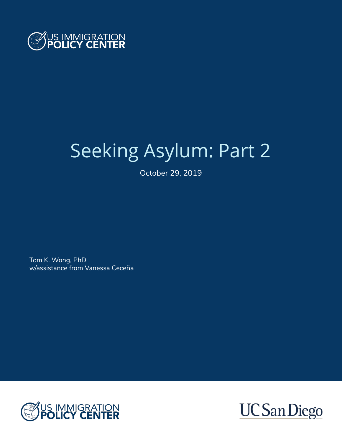

# Seeking Asylum: Part 2

October 29, 2019

Tom K. Wong, PhD w/assistance from Vanessa Ceceña



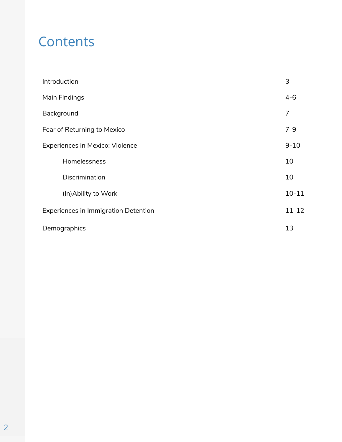# **Contents**

| Introduction                                | 3         |
|---------------------------------------------|-----------|
| Main Findings                               | $4 - 6$   |
| Background                                  | 7         |
| Fear of Returning to Mexico                 | $7 - 9$   |
| <b>Experiences in Mexico: Violence</b>      | $9 - 10$  |
| Homelessness                                | 10        |
| Discrimination                              | 10        |
| (In) Ability to Work                        | $10 - 11$ |
| <b>Experiences in Immigration Detention</b> | $11 - 12$ |
| Demographics                                | 13        |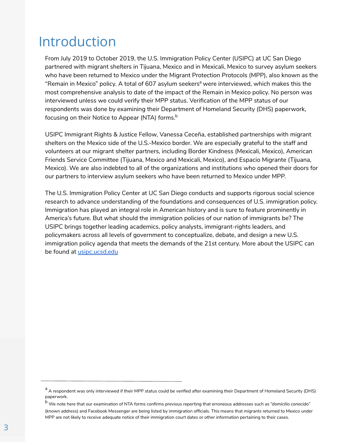### Introduction

From July 2019 to October 2019, the U.S. Immigration Policy Center (USIPC) at UC San Diego partnered with migrant shelters in Tijuana, Mexico and in Mexicali, Mexico to survey asylum seekers who have been returned to Mexico under the Migrant Protection Protocols (MPP), also known as the "Remain in Mexico" policy. A total of 607 asylum seekers<sup>a</sup> were interviewed, which makes this the most comprehensive analysis to date of the impact of the Remain in Mexico policy. No person was interviewed unless we could verify their MPP status. Verification of the MPP status of our respondents was done by examining their Department of Homeland Security (DHS) paperwork, focusing on their Notice to Appear (NTA) forms.<sup>b</sup>

USIPC Immigrant Rights & Justice Fellow, Vanessa Ceceña, established partnerships with migrant shelters on the Mexico side of the U.S.-Mexico border. We are especially grateful to the staff and volunteers at our migrant shelter partners, including Border Kindness (Mexicali, Mexico), American Friends Service Committee (Tijuana, Mexico and Mexicali, Mexico), and Espacio Migrante (Tijuana, Mexico). We are also indebted to all of the organizations and institutions who opened their doors for our partners to interview asylum seekers who have been returned to Mexico under MPP.

The U.S. Immigration Policy Center at UC San Diego conducts and supports rigorous social science research to advance understanding of the foundations and consequences of U.S. immigration policy. Immigration has played an integral role in American history and is sure to feature prominently in America's future. But what should the immigration policies of our nation of immigrants be? The USIPC brings together leading academics, policy analysts, immigrant-rights leaders, and policymakers across all levels of government to conceptualize, debate, and design a new U.S. immigration policy agenda that meets the demands of the 21st century. More about the USIPC can be found at **usipc**.ucsd.edu

a A respondent was only interviewed if their MPP status could be verified after examining their Department of Homeland Security (DHS) paperwork.

<sup>b</sup>We note here that our examination of NTA forms confirms previous reporting that erroneous addresses such as "*domicilio conocido*" (known address) and Facebook Messenger are being listed by immigration officials. This means that migrants returned to Mexico under MPP are not likely to receive adequate notice of their immigration court dates or other information pertaining to their cases.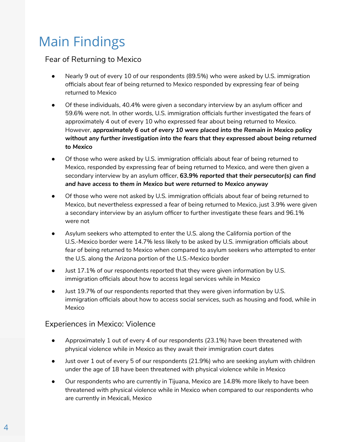# Main Findings

#### Fear of Returning to Mexico

- Nearly 9 out of every 10 of our respondents (89.5%) who were asked by U.S. immigration officials about fear of being returned to Mexico responded by expressing fear of being returned to Mexico
- Of these individuals, 40.4% were given a secondary interview by an asylum officer and 59.6% were not. In other words, U.S. immigration officials further investigated the fears of approximately 4 out of every 10 who expressed fear about being returned to Mexico. However, *approximately 6 out of every 10 were placed into the Remain in Mexico policy without any further investigation into the fears that they expressed about being returned to Mexico*
- Of those who were asked by U.S. immigration officials about fear of being returned to Mexico, responded by expressing fear of being returned to Mexico, and were then given a secondary interview by an asylum officer, *63.9% reported that their persecutor(s) can find and have access to them in Mexico but were returned to Mexico anyway*
- Of those who were not asked by U.S. immigration officials about fear of being returned to Mexico, but nevertheless expressed a fear of being returned to Mexico, just 3.9% were given a secondary interview by an asylum officer to further investigate these fears and 96.1% were not
- Asylum seekers who attempted to enter the U.S. along the California portion of the U.S.-Mexico border were 14.7% less likely to be asked by U.S. immigration officials about fear of being returned to Mexico when compared to asylum seekers who attempted to enter the U.S. along the Arizona portion of the U.S.-Mexico border
- Just 17.1% of our respondents reported that they were given information by U.S. immigration officials about how to access legal services while in Mexico
- Just 19.7% of our respondents reported that they were given information by U.S. immigration officials about how to access social services, such as housing and food, while in Mexico

#### Experiences in Mexico: Violence

- Approximately 1 out of every 4 of our respondents (23.1%) have been threatened with physical violence while in Mexico as they await their immigration court dates
- Just over 1 out of every 5 of our respondents (21.9%) who are seeking asylum with children under the age of 18 have been threatened with physical violence while in Mexico
- Our respondents who are currently in Tijuana, Mexico are 14.8% more likely to have been threatened with physical violence while in Mexico when compared to our respondents who are currently in Mexicali, Mexico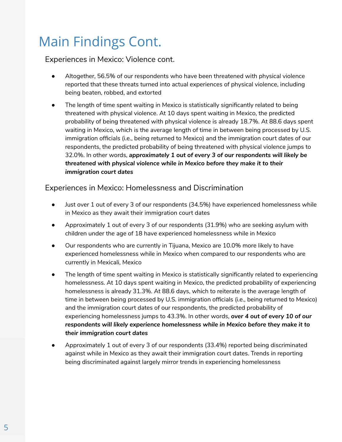# Main Findings Cont.

#### Experiences in Mexico: Violence cont.

- Altogether, 56.5% of our respondents who have been threatened with physical violence reported that these threats turned into actual experiences of physical violence, including being beaten, robbed, and extorted
- The length of time spent waiting in Mexico is statistically significantly related to being threatened with physical violence. At 10 days spent waiting in Mexico, the predicted probability of being threatened with physical violence is already 18.7%. At 88.6 days spent waiting in Mexico, which is the average length of time in between being processed by U.S. immigration officials (i.e., being returned to Mexico) and the immigration court dates of our respondents, the predicted probability of being threatened with physical violence jumps to 32.0%. In other words, *approximately 1 out of every 3 of our respondents will likely be threatened with physical violence while in Mexico before they make it to their immigration court dates*

#### Experiences in Mexico: Homelessness and Discrimination

- Just over 1 out of every 3 of our respondents (34.5%) have experienced homelessness while in Mexico as they await their immigration court dates
- Approximately 1 out of every 3 of our respondents (31.9%) who are seeking asylum with children under the age of 18 have experienced homelessness while in Mexico
- Our respondents who are currently in Tijuana, Mexico are 10.0% more likely to have experienced homelessness while in Mexico when compared to our respondents who are currently in Mexicali, Mexico
- The length of time spent waiting in Mexico is statistically significantly related to experiencing homelessness. At 10 days spent waiting in Mexico, the predicted probability of experiencing homelessness is already 31.3%. At 88.6 days, which to reiterate is the average length of time in between being processed by U.S. immigration officials (i.e., being returned to Mexico) and the immigration court dates of our respondents, the predicted probability of experiencing homelessness jumps to 43.3%. In other words, *over 4 out of every 10 of our respondents will likely experience homelessness while in Mexico before they make it to their immigration court dates*
- Approximately 1 out of every 3 of our respondents (33.4%) reported being discriminated against while in Mexico as they await their immigration court dates. Trends in reporting being discriminated against largely mirror trends in experiencing homelessness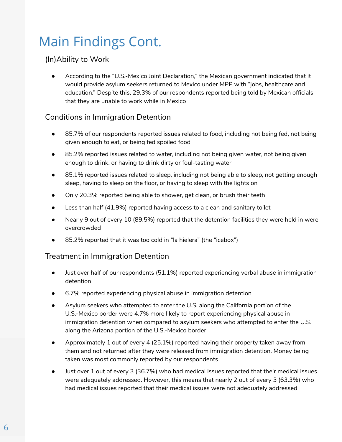# Main Findings Cont.

#### (In)Ability to Work

● According to the "U.S.-Mexico Joint Declaration," the Mexican government indicated that it would provide asylum seekers returned to Mexico under MPP with "jobs, healthcare and education." Despite this, 29.3% of our respondents reported being told by Mexican officials that they are unable to work while in Mexico

#### Conditions in Immigration Detention

- 85.7% of our respondents reported issues related to food, including not being fed, not being given enough to eat, or being fed spoiled food
- 85.2% reported issues related to water, including not being given water, not being given enough to drink, or having to drink dirty or foul-tasting water
- 85.1% reported issues related to sleep, including not being able to sleep, not getting enough sleep, having to sleep on the floor, or having to sleep with the lights on
- Only 20.3% reported being able to shower, get clean, or brush their teeth
- Less than half (41.9%) reported having access to a clean and sanitary toilet
- Nearly 9 out of every 10 (89.5%) reported that the detention facilities they were held in were overcrowded
- 85.2% reported that it was too cold in "la hielera" (the "icebox")

#### Treatment in Immigration Detention

- Just over half of our respondents (51.1%) reported experiencing verbal abuse in immigration detention
- 6.7% reported experiencing physical abuse in immigration detention
- Asylum seekers who attempted to enter the U.S. along the California portion of the U.S.-Mexico border were 4.7% more likely to report experiencing physical abuse in immigration detention when compared to asylum seekers who attempted to enter the U.S. along the Arizona portion of the U.S.-Mexico border
- Approximately 1 out of every 4 (25.1%) reported having their property taken away from them and not returned after they were released from immigration detention. Money being taken was most commonly reported by our respondents
- Just over 1 out of every 3 (36.7%) who had medical issues reported that their medical issues were adequately addressed. However, this means that nearly 2 out of every 3 (63.3%) who had medical issues reported that their medical issues were not adequately addressed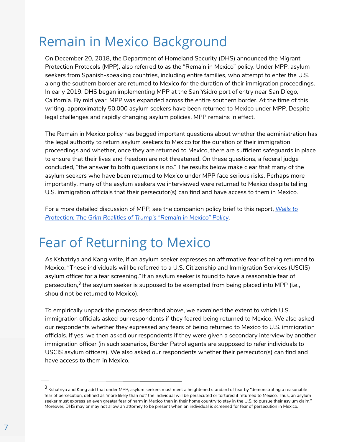# Remain in Mexico Background

On December 20, 2018, the Department of Homeland Security (DHS) announced the Migrant Protection Protocols (MPP), also referred to as the "Remain in Mexico" policy. Under MPP, asylum seekers from Spanish-speaking countries, including entire families, who attempt to enter the U.S. along the southern border are returned to Mexico for the duration of their immigration proceedings. In early 2019, DHS began implementing MPP at the San Ysidro port of entry near San Diego, California. By mid year, MPP was expanded across the entire southern border. At the time of this writing, approximately 50,000 asylum seekers have been returned to Mexico under MPP. Despite legal challenges and rapidly changing asylum policies, MPP remains in effect.

The Remain in Mexico policy has begged important questions about whether the administration has the legal authority to return asylum seekers to Mexico for the duration of their immigration proceedings and whether, once they are returned to Mexico, there are sufficient safeguards in place to ensure that their lives and freedom are not threatened. On these questions, a federal judge concluded, "the answer to both questions is no." The results below make clear that many of the asylum seekers who have been returned to Mexico under MPP face serious risks. Perhaps more importantly, many of the asylum seekers we interviewed were returned to Mexico despite telling U.S. immigration officials that their persecutor(s) can find and have access to them in Mexico.

For a more detailed discussion of MPP, see the companion policy brief to this report, *Walls to Protection: The Grim Realities of Trump's "Remain in Mexico" Policy*.

# Fear of Returning to Mexico

As Kshatriya and Kang write, if an asylum seeker expresses an affirmative fear of being returned to Mexico, "These individuals will be referred to a U.S. Citizenship and Immigration Services (USCIS) asylum officer for a fear screening." If an asylum seeker is found to have a reasonable fear of persecution,<sup>3</sup> the asylum seeker is supposed to be exempted from being placed into MPP (i.e., should not be returned to Mexico).

To empirically unpack the process described above, we examined the extent to which U.S. immigration officials asked our respondents if they feared being returned to Mexico. We also asked our respondents whether they expressed any fears of being returned to Mexico to U.S. immigration officials. If yes, we then asked our respondents if they were given a secondary interview by another immigration officer (in such scenarios, Border Patrol agents are supposed to refer individuals to USCIS asylum officers). We also asked our respondents whether their persecutor(s) can find and have access to them in Mexico.

 $^3$  Kshatriya and Kang add that under MPP, asylum seekers must meet a heightened standard of fear by "demonstrating a reasonable fear of persecution, defined as 'more likely than not' the individual will be persecuted or tortured if returned to Mexico. Thus, an asylum seeker must express an even greater fear of harm in Mexico than in their home country to stay in the U.S. to pursue their asylum claim." Moreover, DHS may or may not allow an attorney to be present when an individual is screened for fear of persecution in Mexico.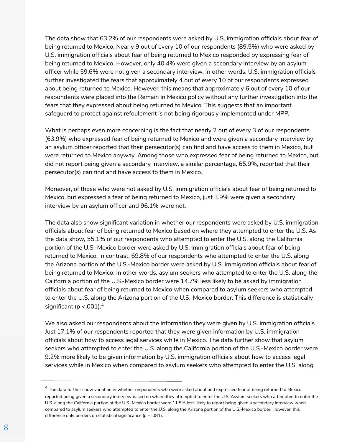The data show that 63.2% of our respondents were asked by U.S. immigration officials about fear of being returned to Mexico. Nearly 9 out of every 10 of our respondents (89.5%) who were asked by U.S. immigration officials about fear of being returned to Mexico responded by expressing fear of being returned to Mexico. However, only 40.4% were given a secondary interview by an asylum officer while 59.6% were not given a secondary interview. In other words, U.S. immigration officials further investigated the fears that approximately 4 out of every 10 of our respondents expressed about being returned to Mexico. However, this means that approximately 6 out of every 10 of our respondents were placed into the Remain in Mexico policy without any further investigation into the fears that they expressed about being returned to Mexico. This suggests that an important safeguard to protect against refoulement is not being rigorously implemented under MPP.

What is perhaps even more concerning is the fact that nearly 2 out of every 3 of our respondents (63.9%) who expressed fear of being returned to Mexico and were given a secondary interview by an asylum officer reported that their persecutor(s) can find and have access to them in Mexico, but were returned to Mexico anyway. Among those who expressed fear of being returned to Mexico, but did not report being given a secondary interview, a similar percentage, 65.9%, reported that their persecutor(s) can find and have access to them in Mexico.

Moreover, of those who were not asked by U.S. immigration officials about fear of being returned to Mexico, but expressed a fear of being returned to Mexico, just 3.9% were given a secondary interview by an asylum officer and 96.1% were not.

The data also show significant variation in whether our respondents were asked by U.S. immigration officials about fear of being returned to Mexico based on where they attempted to enter the U.S. As the data show, 55.1% of our respondents who attempted to enter the U.S. along the California portion of the U.S.-Mexico border were asked by U.S. immigration officials about fear of being returned to Mexico. In contrast, 69.8% of our respondents who attempted to enter the U.S. along the Arizona portion of the U.S.-Mexico border were asked by U.S. immigration officials about fear of being returned to Mexico. In other words, asylum seekers who attempted to enter the U.S. along the California portion of the U.S.-Mexico border were 14.7% less likely to be asked by immigration officials about fear of being returned to Mexico when compared to asylum seekers who attempted to enter the U.S. along the Arizona portion of the U.S.-Mexico border. This difference is statistically significant ( $p < .001$ ).<sup>4</sup>

We also asked our respondents about the information they were given by U.S. immigration officials. Just 17.1% of our respondents reported that they were given information by U.S. immigration officials about how to access legal services while in Mexico. The data further show that asylum seekers who attempted to enter the U.S. along the California portion of the U.S.-Mexico border were 9.2% more likely to be given information by U.S. immigration officials about how to access legal services while in Mexico when compared to asylum seekers who attempted to enter the U.S. along

<sup>&</sup>lt;sup>4</sup> The data further show variation in whether respondents who were asked about and expressed fear of being returned to Mexico reported being given a secondary interview based on where they attempted to enter the U.S. Asylum seekers who attempted to enter the U.S. along the California portion of the U.S.-Mexico border were 11.5% less likely to report being given a secondary interview when compared to asylum seekers who attempted to enter the U.S. along the Arizona portion of the U.S.-Mexico border. However, this difference only borders on statistical significance (*p* = .081).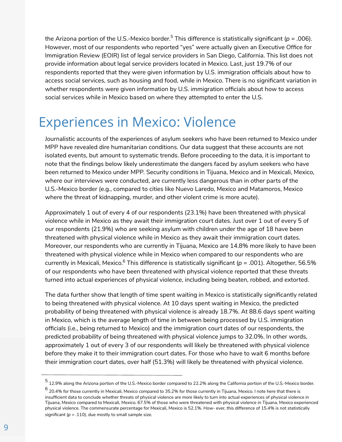the Arizona portion of the U.S.-Mexico border.<sup>5</sup> This difference is statistically significant (*p* = .006). However, most of our respondents who reported "yes" were actually given an Executive Office for Immigration Review (EOIR) list of legal service providers in San Diego, California. This list does not provide information about legal service providers located in Mexico. Last, just 19.7% of our respondents reported that they were given information by U.S. immigration officials about how to access social services, such as housing and food, while in Mexico. There is no significant variation in whether respondents were given information by U.S. immigration officials about how to access social services while in Mexico based on where they attempted to enter the U.S.

### Experiences in Mexico: Violence

Journalistic accounts of the experiences of asylum seekers who have been returned to Mexico under MPP have revealed dire humanitarian conditions. Our data suggest that these accounts are not isolated events, but amount to systematic trends. Before proceeding to the data, it is important to note that the findings below likely underestimate the dangers faced by asylum seekers who have been returned to Mexico under MPP. Security conditions in Tijuana, Mexico and in Mexicali, Mexico, where our interviews were conducted, are currently less dangerous than in other parts of the U.S.-Mexico border (e.g., compared to cities like Nuevo Laredo, Mexico and Matamoros, Mexico where the threat of kidnapping, murder, and other violent crime is more acute).

Approximately 1 out of every 4 of our respondents (23.1%) have been threatened with physical violence while in Mexico as they await their immigration court dates. Just over 1 out of every 5 of our respondents (21.9%) who are seeking asylum with children under the age of 18 have been threatened with physical violence while in Mexico as they await their immigration court dates. Moreover, our respondents who are currently in Tijuana, Mexico are 14.8% more likely to have been threatened with physical violence while in Mexico when compared to our respondents who are currently in Mexicali, Mexico.<sup>6</sup> This difference is statistically significant (*p* = .001). Altogether, 56.5% of our respondents who have been threatened with physical violence reported that these threats turned into actual experiences of physical violence, including being beaten, robbed, and extorted.

The data further show that length of time spent waiting in Mexico is statistically significantly related to being threatened with physical violence. At 10 days spent waiting in Mexico, the predicted probability of being threatened with physical violence is already 18.7%. At 88.6 days spent waiting in Mexico, which is the average length of time in between being processed by U.S. immigration officials (i.e., being returned to Mexico) and the immigration court dates of our respondents, the predicted probability of being threatened with physical violence jumps to 32.0%. In other words, approximately 1 out of every 3 of our respondents will likely be threatened with physical violence before they make it to their immigration court dates. For those who have to wait 6 months before their immigration court dates, over half (51.3%) will likely be threatened with physical violence.

<sup>5</sup>12.9% along the Arizona portion of the U.S.-Mexico border compared to 22.2% along the California portion of the U.S.-Mexico border.

 $^6$  20.4% for those currently in Mexicali, Mexico compared to 35.2% for those currently in Tijuana, Mexico. I note here that there is insufficient data to conclude whether threats of physical violence are more likely to turn into actual experiences of physical violence in Tijuana, Mexico compared to Mexicali, Mexico. 67.5% of those who were threatened with physical violence in Tijuana, Mexico experienced physical violence. The commensurate percentage for Mexicali, Mexico is 52.1%. How- ever, this difference of 15.4% is not statistically significant (*p* = .110), due mostly to small sample size.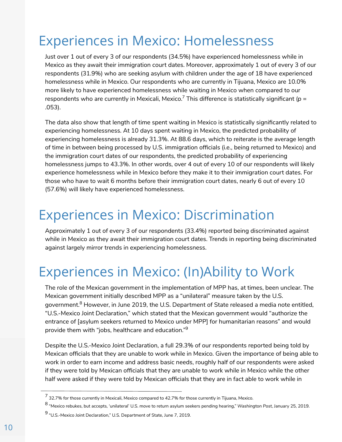# Experiences in Mexico: Homelessness

Just over 1 out of every 3 of our respondents (34.5%) have experienced homelessness while in Mexico as they await their immigration court dates. Moreover, approximately 1 out of every 3 of our respondents (31.9%) who are seeking asylum with children under the age of 18 have experienced homelessness while in Mexico. Our respondents who are currently in Tijuana, Mexico are 10.0% more likely to have experienced homelessness while waiting in Mexico when compared to our respondents who are currently in Mexicali, Mexico.<sup>7</sup> This difference is statistically significant (*p* = .053).

The data also show that length of time spent waiting in Mexico is statistically significantly related to experiencing homelessness. At 10 days spent waiting in Mexico, the predicted probability of experiencing homelessness is already 31.3%. At 88.6 days, which to reiterate is the average length of time in between being processed by U.S. immigration officials (i.e., being returned to Mexico) and the immigration court dates of our respondents, the predicted probability of experiencing homelessness jumps to 43.3%. In other words, over 4 out of every 10 of our respondents will likely experience homelessness while in Mexico before they make it to their immigration court dates. For those who have to wait 6 months before their immigration court dates, nearly 6 out of every 10 (57.6%) will likely have experienced homelessness.

### Experiences in Mexico: Discrimination

Approximately 1 out of every 3 of our respondents (33.4%) reported being discriminated against while in Mexico as they await their immigration court dates. Trends in reporting being discriminated against largely mirror trends in experiencing homelessness.

# Experiences in Mexico: (In)Ability to Work

The role of the Mexican government in the implementation of MPP has, at times, been unclear. The Mexican government initially described MPP as a "unilateral" measure taken by the U.S. government.<sup>8</sup> However, in June 2019, the U.S. Department of State released a media note entitled, "U.S.-Mexico Joint Declaration," which stated that the Mexican government would "authorize the entrance of [asylum seekers returned to Mexico under MPP] for humanitarian reasons" and would provide them with "jobs, healthcare and education."<sup>9</sup>

Despite the U.S.-Mexico Joint Declaration, a full 29.3% of our respondents reported being told by Mexican officials that they are unable to work while in Mexico. Given the importance of being able to work in order to earn income and address basic needs, roughly half of our respondents were asked if they were told by Mexican officials that they are *unable* to work while in Mexico while the other half were asked if they were told by Mexican officials that they are in fact *able* to work while in

<sup>7</sup>32.7% for those currently in Mexicali, Mexico compared to 42.7% for those currently in Tijuana, Mexico.

<sup>8</sup>"Mexico rebukes, but accepts, 'unilateral' U.S. move to return asylum seekers pending hearing," *Washington Post*, January 25, 2019.

<sup>9</sup>"U.S.-Mexico Joint Declaration," U.S. Department of State, June 7, 2019.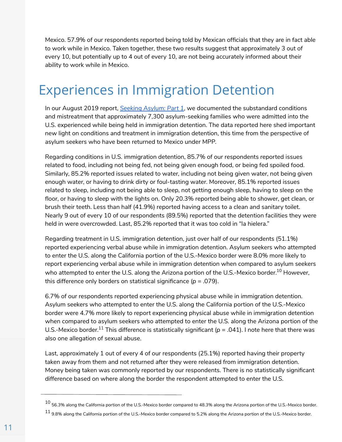Mexico. 57.9% of our respondents reported being told by Mexican officials that they are in fact able to work while in Mexico. Taken together, these two results suggest that approximately 3 out of every 10, but potentially up to 4 out of every 10, are not being accurately informed about their ability to work while in Mexico.

# Experiences in Immigration Detention

In our August 2019 report, *Seeking Asylum: Part 1*, we documented the substandard conditions and mistreatment that approximately 7,300 asylum-seeking families who were admitted into the U.S. experienced while being held in immigration detention. The data reported here shed important new light on conditions and treatment in immigration detention, this time from the perspective of asylum seekers who have been returned to Mexico under MPP.

Regarding conditions in U.S. immigration detention, 85.7% of our respondents reported issues related to food, including not being fed, not being given enough food, or being fed spoiled food. Similarly, 85.2% reported issues related to water, including not being given water, not being given enough water, or having to drink dirty or foul-tasting water. Moreover, 85.1% reported issues related to sleep, including not being able to sleep, not getting enough sleep, having to sleep on the floor, or having to sleep with the lights on. Only 20.3% reported being able to shower, get clean, or brush their teeth. Less than half (41.9%) reported having access to a clean and sanitary toilet. Nearly 9 out of every 10 of our respondents (89.5%) reported that the detention facilities they were held in were overcrowded. Last, 85.2% reported that it was too cold in "la hielera."

Regarding treatment in U.S. immigration detention, just over half of our respondents (51.1%) reported experiencing verbal abuse while in immigration detention. Asylum seekers who attempted to enter the U.S. along the California portion of the U.S.-Mexico border were 8.0% more likely to report experiencing verbal abuse while in immigration detention when compared to asylum seekers who attempted to enter the U.S. along the Arizona portion of the U.S.-Mexico border.<sup>10</sup> However. this difference only borders on statistical significance (*p* = .079).

6.7% of our respondents reported experiencing physical abuse while in immigration detention. Asylum seekers who attempted to enter the U.S. along the California portion of the U.S.-Mexico border were 4.7% more likely to report experiencing physical abuse while in immigration detention when compared to asylum seekers who attempted to enter the U.S. along the Arizona portion of the U.S.-Mexico border.<sup>11</sup> This difference is statistically significant ( $p = .041$ ). I note here that there was also one allegation of sexual abuse.

Last, approximately 1 out of every 4 of our respondents (25.1%) reported having their property taken away from them and not returned after they were released from immigration detention. Money being taken was commonly reported by our respondents. There is no statistically significant difference based on where along the border the respondent attempted to enter the U.S.

 $10$  56.3% along the California portion of the U.S.-Mexico border compared to 48.3% along the Arizona portion of the U.S.-Mexico border.

 $11$  9.8% along the California portion of the U.S.-Mexico border compared to 5.2% along the Arizona portion of the U.S.-Mexico border.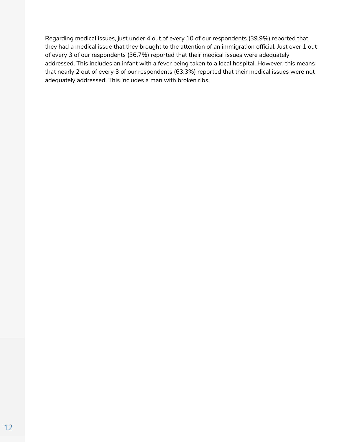Regarding medical issues, just under 4 out of every 10 of our respondents (39.9%) reported that they had a medical issue that they brought to the attention of an immigration official. Just over 1 out of every 3 of our respondents (36.7%) reported that their medical issues were adequately addressed. This includes an infant with a fever being taken to a local hospital. However, this means that nearly 2 out of every 3 of our respondents (63.3%) reported that their medical issues were not adequately addressed. This includes a man with broken ribs.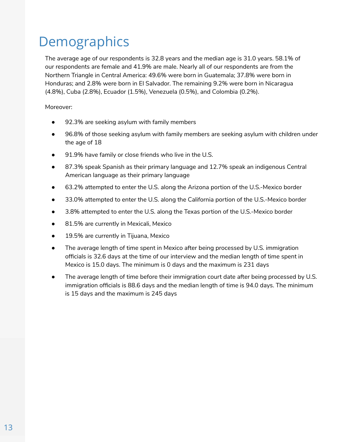# **Demographics**

The average age of our respondents is 32.8 years and the median age is 31.0 years. 58.1% of our respondents are female and 41.9% are male. Nearly all of our respondents are from the Northern Triangle in Central America: 49.6% were born in Guatemala; 37.8% were born in Honduras; and 2.8% were born in El Salvador. The remaining 9.2% were born in Nicaragua (4.8%), Cuba (2.8%), Ecuador (1.5%), Venezuela (0.5%), and Colombia (0.2%).

Moreover:

- 92.3% are seeking asylum with family members
- 96.8% of those seeking asylum with family members are seeking asylum with children under the age of 18
- 91.9% have family or close friends who live in the U.S.
- 87.3% speak Spanish as their primary language and 12.7% speak an indigenous Central American language as their primary language
- 63.2% attempted to enter the U.S. along the Arizona portion of the U.S.-Mexico border
- 33.0% attempted to enter the U.S. along the California portion of the U.S.-Mexico border
- 3.8% attempted to enter the U.S. along the Texas portion of the U.S.-Mexico border
- 81.5% are currently in Mexicali, Mexico
- 19.5% are currently in Tijuana, Mexico
- The average length of time spent in Mexico after being processed by U.S. immigration officials is 32.6 days at the time of our interview and the median length of time spent in Mexico is 15.0 days. The minimum is 0 days and the maximum is 231 days
- The average length of time before their immigration court date after being processed by U.S. immigration officials is 88.6 days and the median length of time is 94.0 days. The minimum is 15 days and the maximum is 245 days